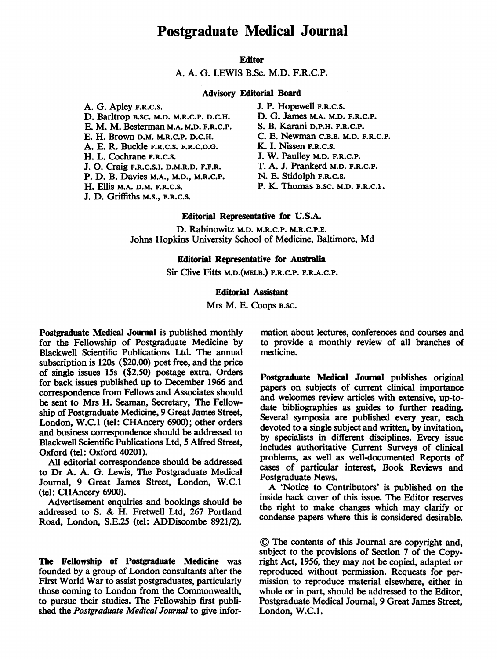# Postgraduate Medical Journal

# **Editor**

A. A. G. LEWIS B.Sc. M.D. F.R.C.P.

#### Advisory Editorial Board

A. G. Apley F.R.C.S. D. Barltrop B.SC. M.D. M.R.C.P. D.C.H. E. M. M. Besterman M.A. M.D. F.R.C.P. E. H. Brown D.M. M.R.C.P. D.C.H. A. E. R. Buckle F.R.C.S. F.R.C.O.G. H. L. Cochrane F.R.C.S. J. 0. Craig F.R.C.S.I. D.M.R.D. F.F.R. P. D. B. Davies M.A., M.D., M.R.C.P. H. Ellis M.A. D.M. F.R.C.S. J. D. Griffiths M.S., F.R.C.S.

- J. P. Hopewell F.R.C.S. D. G. James M.A. M.D. F.R.C.P. S. B. Karani D.P.H. F.R.C.P. C. E. Newman C.B.E. M.D. F.R.C.P. K. I. Nissen F.R.C.S. J. W. Paulley M.D. F.R.C.P. T. A. J. Prankerd M.D. F.R.C.P. N. E. Stidolph F.R.C.S. P. K. Thomas B.SC. M.D. F.R.C.1.
- Editorial Representative for U.S.A.

D. Rabinowitz M.D. M.R.C.P. M.R.C.P.E. Johns Hopkins University School of Medicine, Baltimore, Md

### Editorial Representative for Australia

Sir Clive Fitts M.D.(MELB.) F.R.C.P. F.R.A.C.P.

# Editorial Assistant

Mrs M. E. Coops B.SC.

Postgraduate Medical Journal is published monthly for the Fellowship of Postgraduate Medicine by Blackwell Scientific Publications Ltd. The annual subscription is 120s (\$20.00) post free, and the price of single issues 15s (\$2.50) postage extra. Orders for back issues published up to December 1966 and correspondence from Fellows and Associates should be sent to Mrs H. Seaman, Secretary, The Fellowship of Postgraduate Medicine, 9 Great James Street, London, W.C.1 (tel: CHAncery 6900); other orders and business correspondence should be addressed to Blackwell Scientific Publications Ltd, 5 Alfred Street, Oxford (tel: Oxford 40201).

All editorial correspondence should be addressed to Dr A. A. G. Lewis, The Postgraduate Medical Journal, 9 Great James Street, London, W.C.1 (tel: CHAncery 6900).

Advertisement enquiries and bookings should be addressed to S. & H. Fretwell Ltd, <sup>267</sup> Portland Road, London, S.E.25 (tel: ADDiscombe 8921/2).

The Fellowship of Postgraduate Medicine was founded by a group of London consultants after the First World War to assist postgraduates, particularly those coming to London from the Commonwealth, to pursue their studies. The Fellowship first published the Postgraduate Medical Journal to give information about lectures, conferences and courses and to provide a monthly review of all branches of medicine.

Postgraduate Medical Journal publishes original papers on subjects of current clinical importance and welcomes review articles with extensive, up-todate bibliographies as guides to further reading. Several symposia are published every year, each devoted to a single subject and written, by invitation, by specialists in different disciplines. Every issue includes authoritative Current Surveys of clinical problems, as well as well-documented Reports of cases of particular interest, Book Reviews and Postgraduate News.

A 'Notice to Contributors' is published on the inside back cover of this issue. The Editor reserves the right to make changes which may clarify or condense papers where this is considered desirable.

( The contents of this Journal are copyright and, subject to the provisions of Section 7 of the Copyright Act, 1956, they may not be copied, adapted or reproduced without permission. Requests for permission to reproduce material elsewhere, either in whole or in part, should be addressed to the Editor, Postgraduate Medical Journal, 9 Great James Street, London, W.C.1.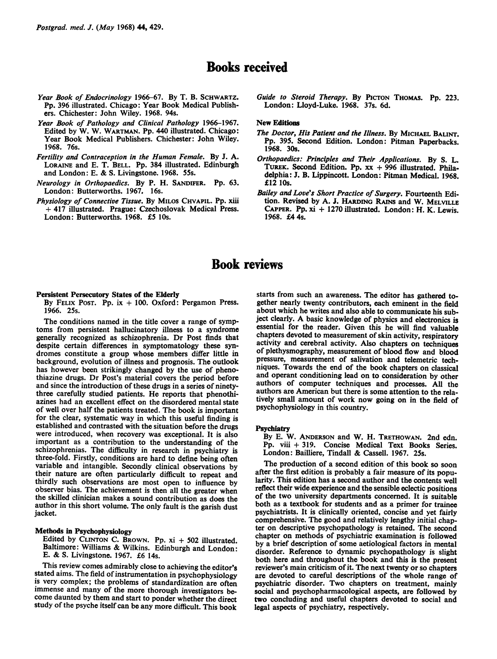Postgrad. med. J. (May 1968) 44, 429.

# Books received

- Year Book of Endocrinology 1966-67. By T. B. SCHWARTZ. Pp. 396 illustrated. Chicago: Year Book Medical Publishers. Chichester: John Wiley. 1968. 94s.
- Year Book of Pathology and Clinical Pathology 1966-1967. Edited by W. W. WARTMAN. Pp. 440 illustrated. Chicago: Year Book Medical Publishers. Chichester: John Wiley. 1968. 76s.
- Fertility and Contraception in the Human Female. By J. A. LORAINE and E. T. BELL. Pp. 384 illustrated. Edinburgh and London: E. & S. Livingstone. 1968. 55s.
- Neurology in Orthopaedics. By P. H. SANDIFER. Pp. 63. London: Butterworths. 1967. 16s.
- Physiology of Connective Tissue. By MILOS CHVAPIL. Pp. xiii + 417 illustrated. Prague: Czechoslovak Medical Press. London: Butterworths. 1968. £5 10s.

Guide to Steroid Therapy. By PICTON THOMAS. Pp. 223. London: Lloyd-Luke. 1968. 37s. 6d.

### New Editions

- The Doctor, His Patient and the Illness. By MICHAEL BALINT. Pp. 395. Second Edition. London: Pitman Paperbacks. 1968. 30s.
- Orthopaedics: Principles and Their Applications. By S. L. TUREK. Second Edition. Pp. xx + 996 illustrated. Philadelphia: J. B. Lippincott. London: Pitman Medical. 1968. £12 lOs.
- Bailey and Love's Short Practice of Surgery. Fourteenth Edition. Revised by A. J. HARDING RAINs and W. MELVILLE CAPPER. Pp.  $xi + 1270$  illustrated. London: H. K. Lewis. 1968. £4 4s.

# Book reviews

#### Persistent Persecutory States of the Elderly

By FELIX POST. Pp.  $ix + 100$ . Oxford: Pergamon Press. 1966. 25s.

The conditions named in the title cover a range of symptoms from persistent hallucinatory illness to a syndrome generally recognized as schizophrenia. Dr Post finds that despite certain differences in symptomatology these syndromes constitute a group whose members differ little in background, evolution of illness and prognosis. The outlook has however been strikingly changed by the use of phenothiazine drugs. Dr Post's material covers the period before and since the introduction of these drugs in a series of ninetythree carefully studied patients. He reports that phenothiazines had an excellent effect on the disordered mental state of well over half the patients treated. The book is important for the clear, systematic way in which this useful finding is established and contrasted with the situation before the drugs were introduced, when recovery was exceptional. It is also important as a contribution to the understanding of the schizophrenias. The difficulty in research in psychiatry is three-fold. Firstly, conditions are hard to define being often variable and intangible. Secondly clinical observations by their nature are often particularly difficult to repeat and thirdly such observations are most open to influence by observer bias. The achievement is then all the greater when the skilled clinician makes a sound contribution as does the author in this short volume. The only fault is the garish dust jacket.

#### Methods in Psychophysiology

Edited by CLINTON C. BROWN. Pp. xi + 502 illustrated. Baltimore: Williams & Wilkins. Edinburgh and London: E. & S. Livingstone. 1967. £6 14s.

This review comes admirably close to achieving the editor's stated aims. The field of instrumentation in psychophysiology is very complex; the problems of standardization are often immense and many of the more thorough investigators be-<br>come daunted by them and start to ponder whether the direct study of the psyche itself can be any more difficult. This book

starts from such an awareness. The editor has gathered together nearly twenty contributors, each eminent in the field about which he writes and also able to communicate his subject clearly. A basic knowledge of physics and electronics is essential for the reader. Given this he will find valuable chapters devoted to measurement of skin activity, respiratory activity and cerebral activity. Also chapters on techniques of plethysmography, measurement of blood flow and blood pressure, measurement of salivation and telemetric techniques. Towards the end of the book chapters on classical and operant conditioning lead on to consideration by other authors of computer techniques and processes. All the authors are American but there is some attention to the relatively small amount of work now going on in the field of psychophysiology in this country.

#### Psychiatry

By E. W. ANDERSON and W. H. TRETHOWAN. 2nd edn. Pp. viii + 319. Concise Medical Text Books Series. London: Bailliere, Tindall & Cassell. 1967. 25s.

The production of a second edition of this book so soon after the first edition is probably a fair measure of its popularity. This edition has a second author and the contents well reflect their wide experience and the sensible eclectic positions of the two university departments concerned. It is suitable both as a textbook for students and as a primer for trainee psychiatrists. It is clinically oriented, concise and yet fairly comprehensive. The good and relatively lengthy initial chapter on descriptive psychopathology is retained. The second chapter on methods of psychiatric examination is followed by a brief description of some aetiological factors in mental disorder. Reference to dynamic psychopathology is slight both here and throughout the book and this is the present reviewer's main criticism of it. The next twenty or so chapters are devoted to careful descriptions of the whole range of psychiatric disorder. Two chapters on treatment, mainly social and psychopharmacological aspects, are followed by two concluding and useful chapters devoted to social and legal aspects of psychiatry, respectively.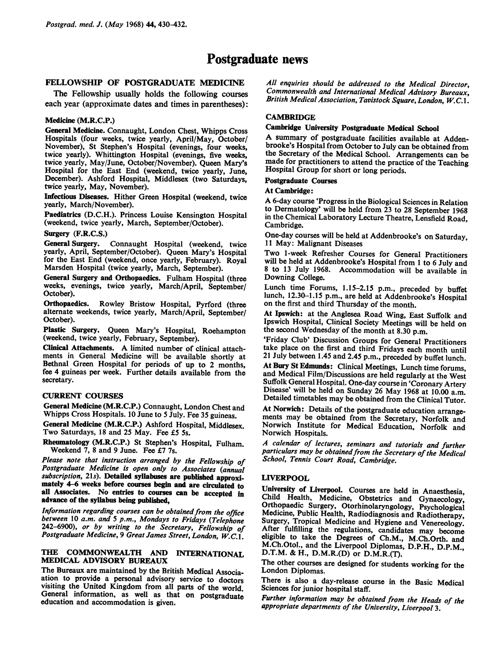# Postgraduate news

### FELLOWSHIP OF POSTGRADUATE MEDICINE

The Fellowship usually holds the following courses each year (approximate dates and times in parentheses):

#### Medicine (M.R.C.P.)

General Medicine. Connaught, London Chest, Whipps Cross Hospitals (four weeks, twice yearly, April/May, October/ November), St Stephen's Hospital (evenings, four weeks, twice yearly). Whittington Hospital (evenings, five weeks, twice yearly, May/June, October/November). Queen Mary's Hospital for the East End (weekend, twice yearly, June, December). Ashford Hospital, Middlesex (two Saturdays, twice yearly, May, November).

Infectious Diseases. Hither Green Hospital (weekend, twice yearly, March/November).

Paediatrics (D.C.H.). Princess Louise Kensington Hospital (weekend, twice yearly, March, September/October).

# Surgery (F.R.C.S.)<br>General Surgery.

Connaught Hospital (weekend, twice yearly, April, September/October). Queen Mary's Hospital for the East End (weekend, once yearly, February). Royal Marsden Hospital (twice yearly, March, September).

General Surgery and Orthopaedics. Fulham Hospital (three weeks, evenings, twice yearly, March/April, September/ October).<br>Orthopaedics.

Rowley Bristow Hospital, Pyrford (three alternate weekends, twice yearly, March/April, September/ October).

Plastic Surgery. Queen Mary's Hospital, Roehampton (weekend, twice yearly, February, September).

Clinical Attachments. A limited number of clinical attachments in General Medicine will be available shortly at Bethnal Green Hospital for periods of up to <sup>2</sup> months, fee 4 guineas per week. Further details available from the secretary.

### CURRENT COURSES

General Medicine (M.R.C.P.) Connaught, London Chest and Whipps Cross Hospitals. 10 June to <sup>5</sup> July. Fee 35 guineas.

General Medicine (M.R.C.P.) Ashford Hospital, Middlesex. Two Saturdays, <sup>18</sup> and <sup>25</sup> May. Fee £5 5s.

Rheumatology (M.R.C.P.) St Stephen's Hospital, Fulham.<br>Weekend 7, 8 and 9 June. Fee £7 7s.<br>Please note that instruction arranged by the Fellowship of

Postgraduate Medicine is open only to Associates (annual subscription, 21s). Detailed syllabuses are published approximately 4-6 weeks before courses begin and are circulated to all Associates. No entries to courses can be accepted in advance of the syllabus being published,

Information regarding courses can be obtained from the office<br>between 10 a.m. and 5 p.m., Mondays to Fridays (Telephone<br>242–6900), or by writing to the Secretary, Fellowship of Postgraduate Medicine, 9 Great James Street, London, W.C.1.

# THE COMMONWEALTH AND INTERNATIONAL MEDICAL ADVISORY BUREAUX<br>The Bureaux are maintained by the British Medical Associa-

ation to provide a personal advisory service to doctors visiting the United Kingdom from all parts of the world. General information, as well as that on postgraduate education and accommodation is given. All enquiries should be addressed to the Medical Director, Commonwealth and International Medical Advisory Bureaux, British Medical Association, Tavistock Square, London, W.C. 1.

### **CAMBRIDGE**

### Cambridge University Postgraduate Medical School

A summary of postgraduate facilities available at Adden the Secretary of the Medical School. Arrangements can be made for practitioners to attend the practice of the Teaching Hospital Group for short or long periods.

### Postgraduate Courses

### At Cambridge:

A 6-day course 'Progress in the Biological Sciences in Relation in the Chemical Laboratory Lecture Theatre, Lensfield Road, Cambridge.

One-day courses will be held at Addenbrooke's on Saturday, <sup>11</sup> May: Malignant Diseases

Two 1-week Refresher Courses for General Practitioners will be held at Addenbrooke's Hospital from 1 to 6 July and 8 to 13 July 1968. Accommodation will be available in Downing College.

Lunch time Forums, 1.15-2.15 p.m., preceded by buffet lunch, 12.30-1.15 p.m., are held at Addenbrooke's Hospital on the first and third Thursday of the month.

At Ipswich: at the Anglesea Road Wing, East Suffolk and the second Wednesday of the month at 8.30 p.m.

'Friday Club' Discussion Groups for General Practitioners 21 July between 1.45 and 2.45 p.m., preceded by buffet lunch.<br>At Bury St Edmunds: Clinical Meetings, Lunch time forums,

and Medical Film/Discussions are held regularly at the West<br>Suffolk General Hospital. One-day course in 'Coronary Artery<br>Disease' will be held on Sunday 26 May 1968 at 10.00 a.m.<br>Detailed timetables may be obtained from th

ments may be obtained from the Secretary, Norfolk and Norwich Institute for Medical Education, Norfolk and Norwich Hospitals.

A calendar of lectures, seminars and tutorials and further particulars may be obtained from the Secretary of the Medical School, Tennis Court Road, Cambridge.

### LIVERPOOL

University of Liverpool. Courses are held in Anaesthesia, Child Health, Medicine, Obstetrics and Gynaecology, Orthopaedic Surgery, Otorhinolaryngology, Psychological Medicine, Public Health, Radiodiagnosis and Radiotherapy eligible to take the Degrees of Ch.M., M.Ch.Orth. and M.Ch.Otol., and the Liverpool Diplomas, D.P.H., D.P.M., D.T.M. & H., D.M.R.(D) or D.M.R.(T).

The other courses are designed for students working for the London Diplomas.

There is also a day-release course in the Basic Medical Sciences for junior hospital staff.<br>Further information may be obtained from the Heads of the

appropriate departments of the University, Liverpool 3.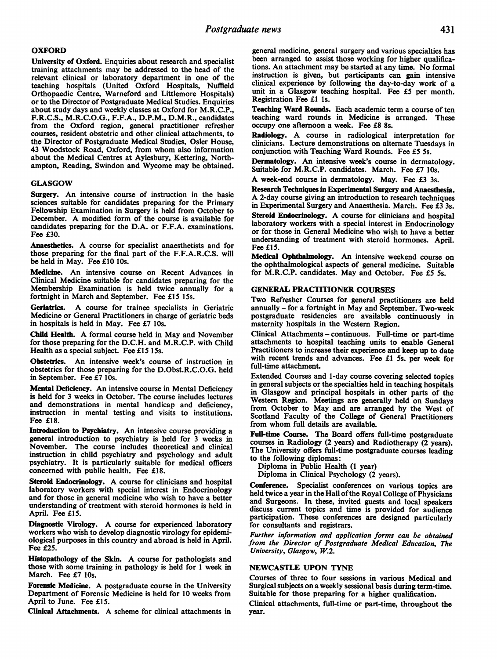### **OXFORD**

University of Oxford. Enquiries about research and specialist training attachments may be addressed to the head of the relevant clinical or laboratory department in one of the teaching hospitals (United Oxford Hospitals, Nuffield Orthopaedic Centre, Warneford and Littlemore Hospitals) or to the Director of Postgraduate Medical Studies. Enquiries about study days and weekly classes at Oxford for M.R.C.P., F.R.C.S., M.R.C.O.G., F.F.A., D.P.M., D.M.R., candidates from the Oxford region, general practitioner refresher courses, resident obstetric and other clinical attachments, to the Director of Postgraduate Medical Studies, Osler House, 43 Woodstock Road, Oxford, from whom also information about the Medical Centres at Aylesbury, Kettering, Northampton, Reading, Swindon and Wycome may be obtained.

### GLASGOW

Surgery. An intensive course of instruction in the basic sciences suitable for candidates preparing for the Primary Fellowship Examination in Surgery is held from October to December. A modified form of the course is available for candidates preparing for the D.A. or F.F.A. examinations. Fee £30.

Anaesthetics. A course for specialist anaesthetists and for those preparing for the final part of the F.F.A.R.C.S. will be held in May. Fee £10 10s.

Medicine. An intensive course on Recent Advances in Clinical Medicine suitable for candidates preparing for the Membership Examination is held twice annually for a fortnight in March and September. Fee £15 15s.

Geriatrics. A course for trainee specialists in Geriatric Medicine or General Practitioners in charge of geriatric beds in hospitals is held in May. Fee £7 10s.

Child Health. A formal course held in May and November for those preparing for the D.C.H. and M.R.C.P. with Child Health as a special subject. Fee £15 15s.

Obstetrics. An intensive week's course of instruction in obstetrics for those preparing for the D.Obst.R.C.O.G. held in September. Fee £7 10s.

Mental Deficiency. An intensive course in Mental Deficiency is held for 3 weeks in October. The course includes lectures and demonstrations in mental handicap and deficiency, instruction in mental testing and visits to institutions. Fee £18.

Introduction to Psychiatry. An intensive course providing <sup>a</sup> general introduction to psychiatry is held for 3 weeks in November. The course includes theoretical and clinical instruction in child psychiatry and psychology and adult psychiatry. It is particularly suitable for medical officers concerned with public health. Fee £18.

Steroid Endocrinology. A course for clinicians and hospital laboratory workers with special interest in Endocrinology and for those in general medicine who wish to have a better understanding of treatment with steroid hormones is held in April. Fee £15.

Diagnostic Virology. A course for experienced laboratory workers who wish to develop diagnostic virology for epidemiological purposes in this country and abroad is held in April. Fee £25.

Histopathology of the Skin. A course for pathologists and those with some training in pathology is held for <sup>1</sup> week in March. Fee £7 10s.

Forensic Medicine. A postgraduate course in the University Department of Forensic Medicine is held for 10 weeks from April to June. Fee £15.

Clinical Attachments. A scheme for clinical attachments in

general medicine, general surgery and various specialties has been arranged to assist those working for higher qualifications. An attachment may be started at any time. No formal instruction is given, but participants can gain intensive clinical experience by following the day-to-day work of a unit in a Glasgow teaching hospital. Fee £5 per month. Registration Fee £1 ls.

Teaching Ward Rounds. Each academic term a course of ten teaching ward rounds in Medicine is arranged. These occupy one afternoon a week. Fee £8 8s.

Radiology. A course in radiological interpretation for clinicians. Lecture demonstrations on alternate Tuesdays in conjunction with Teaching Ward Rounds. Fee £5 5s.

Dermatology. An intensive week's course in dermatology. Suitable for M.R.C.P. candidates. March. Fee £7 10s.

A week-end course in dermatology. May. Fee £3 3s.

Research Techniques in Experimental Surgery and Anaesthesia. A 2-day course giving an introduction to research techniques in Experimental Surgery and Anaesthesia. March. Fee £3 3s.

Steroid Endocrinology. A course for clinicians and hospital laboratory workers with a special interest in Endocrinology or for those in General Medicine who wish to have a better understanding of treatment with steroid hormones. April. Fee £15.

Medical Ophthalmology. An intensive weekend course on the ophthalmological aspects of general medicine. Suitable for M.R.C.P. candidates. May and October. Fee £5 5s.

### GENERAL PRACTITIONER COURSES

Two Refresher Courses for general practitioners are held annually - for a fortnight in May and September. Two-week postgraduate residencies are available continuously in maternity hospitals in the Western Region.

Clinical Attachments - continuous. Full-time or part-time attachments to hospital teaching units to enable General Practitioners to increase their experience and keep up to date with recent trends and advances. Fee £1 5s. per week for full-time attachment.

Extended Courses and 1-day course covering selected topics in general subjects or the specialties held in teaching hospitals in Glasgow and principal hospitals in other parts of the from October to May and are arranged by the West of Scotland Faculty of the College of General Practitioners from whom full details are available.

Full-time Course. The Board offers full-time postgraduate courses in Radiology (2 years) and Radiotherapy (2 years). The University offers full-time postgraduate courses leading to the following diplomas:

Diploma in Public Health (1 year)

Diploma in Clinical Psychology (2 years).

Conference. Specialist conferences on various topics are held twice a year in the Hall of the Royal College of Physicians and Surgeons. In these, invited guests and local speakers discuss current topics and time is provided for audience participation. These conferences are designed particularly for consultants and registrars.

Further information and application forms can be obtained from the Director of Postgraduate Medical Education, The University, Glasgow, W.2.

### NEWCASTLE UPON TYNE

Courses of three to four sessions in various Medical and Surgical subjects on a weekly sessional basis during term-time. Suitable for those preparing for a higher qualification.

Clinical attachments, full-time or part-time, throughout the year.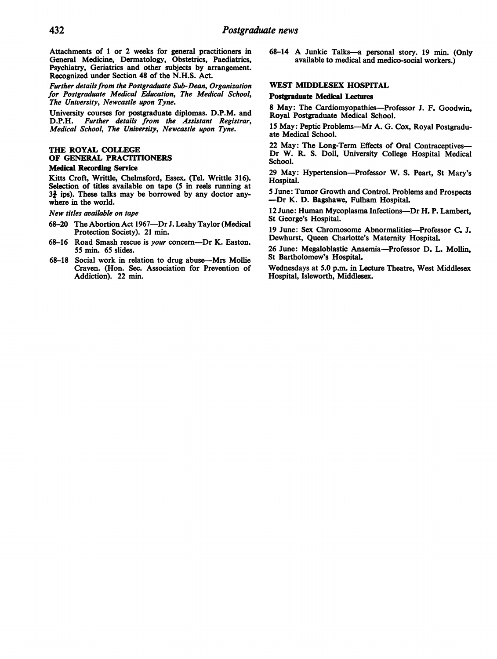Attachments of <sup>1</sup> or 2 weeks for general practitioners in General Medicine, Dermatology, Obstetrics, Paediatrics, Psychiatry, Geriatrics and other subjects by arrangement. Recognized under Section 48 of the N.H.S. Act.

Further details from the Postgraduate Sub-Dean, Organization for Postgraduate Medical Education, The Medical School, The University, Newcastle upon Tyne.

University courses for postgraduate diplomas. D.P.M. and D.P.H. Further details from the Assistant Registrar, Further details from the Assistant Registrar, Medical School, The University, Newcastle upon Tyne.

# THE ROYAL COLLEGE OF GENERAL PRACTITIONERS

Medical Recording Service

Kitts Croft, Writtle, Chelmsford, Essex. (Tel. Writtle 316). Selection of titles available on tape (5 in reels running at 31 ips). These talks may be borrowed by any doctor anywhere in the world.

New titles available on tape

- 68-20 The Abortion Act 1967-Dr J. Leahy Taylor (Medical Protection Society). 21 min.
- 68-16 Road Smash rescue is your concern-Dr K. Easton. 55 min. 65 slides.
- 68-18 Social work in relation to drug abuse-Mrs Mollie Craven. (Hon. Sec. Association for Prevention of Addiction). 22 min.

68-14 A Junkie Talks-a personal story. <sup>19</sup> min. (Only available to medical and medico-social workers.)

### WEST MIDDLESEX HOSPITAL

#### Postgraduate Medical Lectures

8 May: The Cardiomyopathies-Professor J. F. Goodwin, Royal Postgraduate Medical School.

15 May: Peptic Problems---Mr A. G. Cox, Royal Postgraduate Medical School.

22 May: The Long-Term Effects of Oral Contraceptives-Dr W. R. S. Doll, University College Hospital Medical School.

29 May: Hypertension-Professor W. S. Peart, St Mary's Hospital.

<sup>5</sup> June: Tumor Growth and Control. Problems and Prospects -Dr K. D. Bagshawe, Fulham Hospital.

<sup>12</sup> June: Human Mycoplasma Infections-Dr H. P. Lambert, St George's Hospital.

19 June: Sex Chromosome Abnormalities-Professor C. J. Dewhurst, Queen Charlotte's Maternity Hospital.

26 June: Megaloblastic Anaemia-Professor D. L. Mollin, St Bartholomew's Hospital.

Wednesdays at 5.0 p.m. in Lecture Theatre, West Middlesex Hospital, Isleworth, Middlesex.